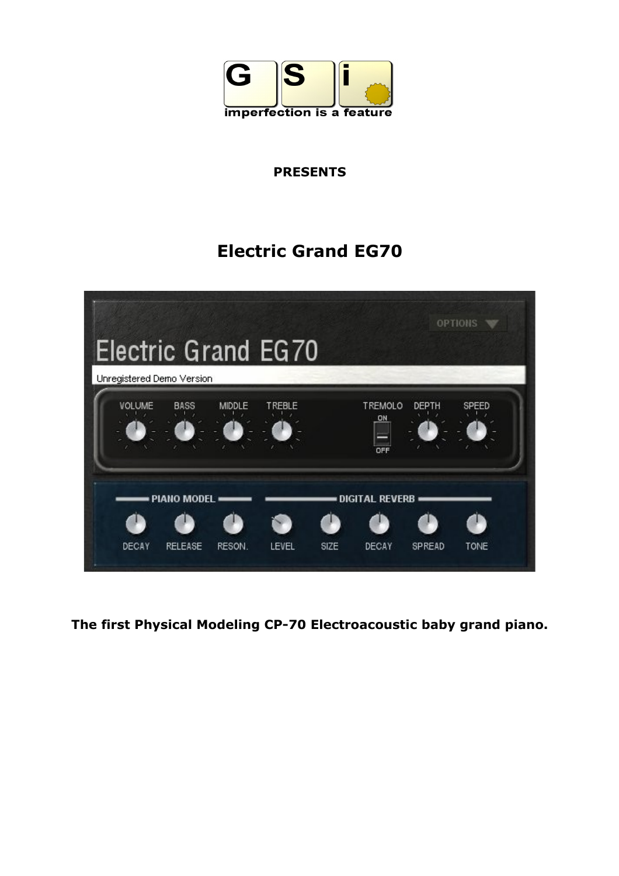

# **PRESENTS**

# **Electric Grand EG70**



**The first Physical Modeling CP-70 Electroacoustic baby grand piano.**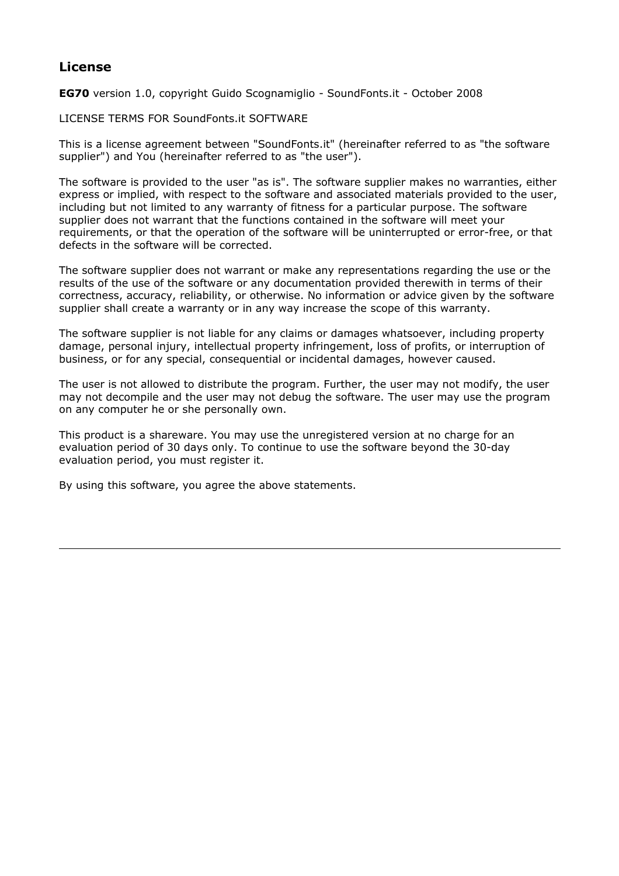#### **License**

**EG70** version 1.0, copyright Guido Scognamiglio - SoundFonts.it - October 2008

LICENSE TERMS FOR SoundFonts.it SOFTWARE

This is a license agreement between "SoundFonts.it" (hereinafter referred to as "the software supplier") and You (hereinafter referred to as "the user").

The software is provided to the user "as is". The software supplier makes no warranties, either express or implied, with respect to the software and associated materials provided to the user, including but not limited to any warranty of fitness for a particular purpose. The software supplier does not warrant that the functions contained in the software will meet your requirements, or that the operation of the software will be uninterrupted or error-free, or that defects in the software will be corrected.

The software supplier does not warrant or make any representations regarding the use or the results of the use of the software or any documentation provided therewith in terms of their correctness, accuracy, reliability, or otherwise. No information or advice given by the software supplier shall create a warranty or in any way increase the scope of this warranty.

The software supplier is not liable for any claims or damages whatsoever, including property damage, personal injury, intellectual property infringement, loss of profits, or interruption of business, or for any special, consequential or incidental damages, however caused.

The user is not allowed to distribute the program. Further, the user may not modify, the user may not decompile and the user may not debug the software. The user may use the program on any computer he or she personally own.

This product is a shareware. You may use the unregistered version at no charge for an evaluation period of 30 days only. To continue to use the software beyond the 30-day evaluation period, you must register it.

By using this software, you agree the above statements.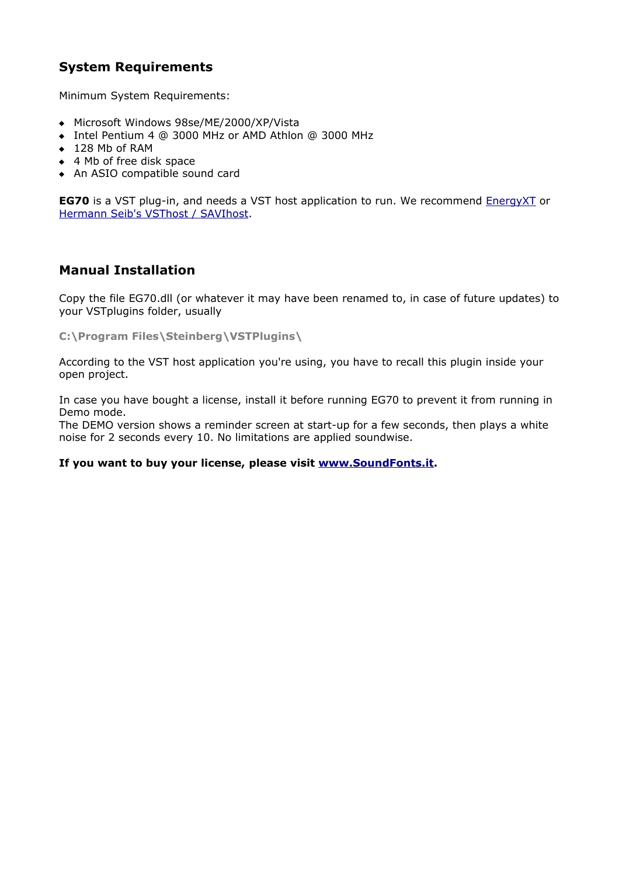# **System Requirements**

Minimum System Requirements:

- Microsoft Windows 98se/ME/2000/XP/Vista
- Intel Pentium 4 @ 3000 MHz or AMD Athlon @ 3000 MHz
- ◆ 128 Mb of RAM
- ◆ 4 Mb of free disk space
- An ASIO compatible sound card

**EG70** is a VST plug-in, and needs a VST host application to run. We recommend [EnergyXT](http://www.energy-xt.com/) or [Hermann Seib's VSThost / SAVIhost.](http://www.hermannseib.com/english/vsthost.htm)

# **Manual Installation**

Copy the file EG70.dll (or whatever it may have been renamed to, in case of future updates) to your VSTplugins folder, usually

**C:\Program Files\Steinberg\VSTPlugins\**

According to the VST host application you're using, you have to recall this plugin inside your open project.

In case you have bought a license, install it before running EG70 to prevent it from running in Demo mode.

The DEMO version shows a reminder screen at start-up for a few seconds, then plays a white noise for 2 seconds every 10. No limitations are applied soundwise.

#### **If you want to buy your license, please visit [www.SoundFonts.it.](http://www.soundfonts.it/)**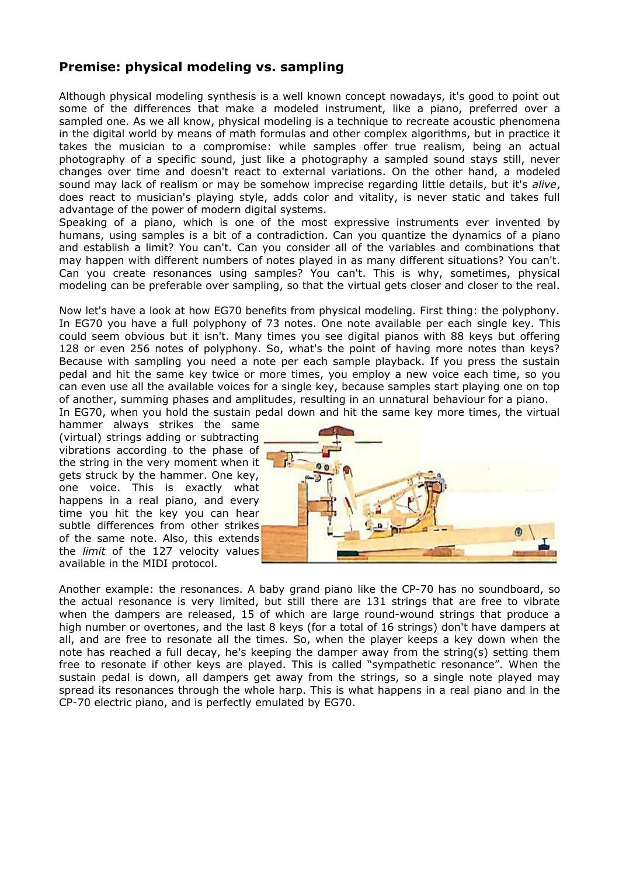#### **Premise: physical modeling vs. sampling**

Although physical modeling synthesis is a well known concept nowadays, it's good to point out some of the differences that make a modeled instrument, like a piano, preferred over a sampled one. As we all know, physical modeling is a technique to recreate acoustic phenomena in the digital world by means of math formulas and other complex algorithms, but in practice it takes the musician to a compromise: while samples offer true realism, being an actual photography of a specific sound, just like a photography a sampled sound stays still, never changes over time and doesn't react to external variations. On the other hand, a modeled sound may lack of realism or may be somehow imprecise regarding little details, but it's *alive*, does react to musician's playing style, adds color and vitality, is never static and takes full advantage of the power of modern digital systems.

Speaking of a piano, which is one of the most expressive instruments ever invented by humans, using samples is a bit of a contradiction. Can you quantize the dynamics of a piano and establish a limit? You can't. Can you consider all of the variables and combinations that may happen with different numbers of notes played in as many different situations? You can't. Can you create resonances using samples? You can't. This is why, sometimes, physical modeling can be preferable over sampling, so that the virtual gets closer and closer to the real.

Now let's have a look at how EG70 benefits from physical modeling. First thing: the polyphony. In EG70 you have a full polyphony of 73 notes. One note available per each single key. This could seem obvious but it isn't. Many times you see digital pianos with 88 keys but offering 128 or even 256 notes of polyphony. So, what's the point of having more notes than keys? Because with sampling you need a note per each sample playback. If you press the sustain pedal and hit the same key twice or more times, you employ a new voice each time, so you can even use all the available voices for a single key, because samples start playing one on top of another, summing phases and amplitudes, resulting in an unnatural behaviour for a piano.

In EG70, when you hold the sustain pedal down and hit the same key more times, the virtual hammer always strikes the same

(virtual) strings adding or subtracting vibrations according to the phase of the string in the very moment when it gets struck by the hammer. One key, one voice. This is exactly what happens in a real piano, and every time you hit the key you can hear subtle differences from other strikes of the same note. Also, this extends the *limit* of the 127 velocity values available in the MIDI protocol.



Another example: the resonances. A baby grand piano like the CP-70 has no soundboard, so the actual resonance is very limited, but still there are 131 strings that are free to vibrate when the dampers are released, 15 of which are large round-wound strings that produce a high number or overtones, and the last 8 keys (for a total of 16 strings) don't have dampers at all, and are free to resonate all the times. So, when the player keeps a key down when the note has reached a full decay, he's keeping the damper away from the string(s) setting them free to resonate if other keys are played. This is called "sympathetic resonance". When the sustain pedal is down, all dampers get away from the strings, so a single note played may spread its resonances through the whole harp. This is what happens in a real piano and in the CP-70 electric piano, and is perfectly emulated by EG70.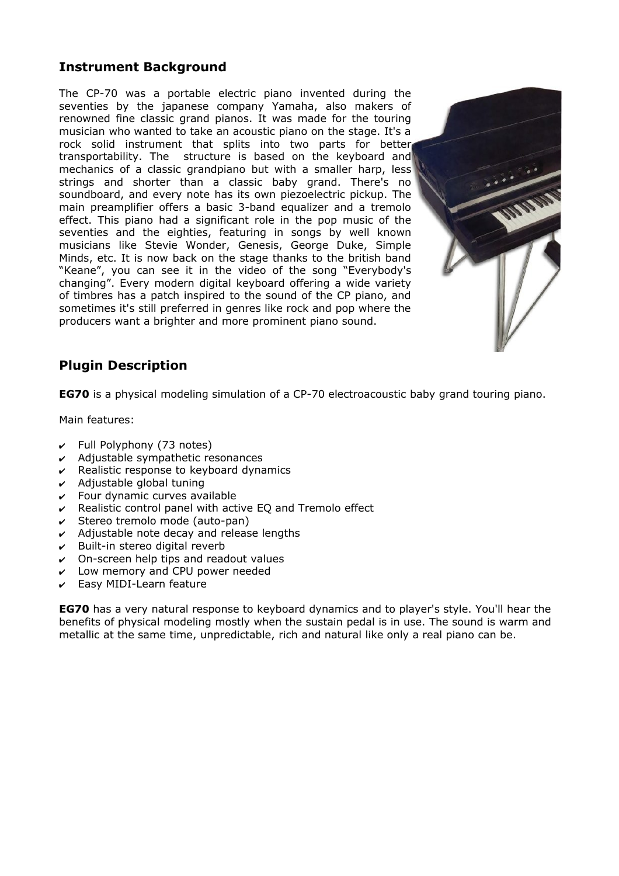# **Instrument Background**

The CP-70 was a portable electric piano invented during the seventies by the japanese company Yamaha, also makers of renowned fine classic grand pianos. It was made for the touring musician who wanted to take an acoustic piano on the stage. It's a rock solid instrument that splits into two parts for better transportability. The structure is based on the keyboard and mechanics of a classic grandpiano but with a smaller harp, less strings and shorter than a classic baby grand. There's no soundboard, and every note has its own piezoelectric pickup. The main preamplifier offers a basic 3-band equalizer and a tremolo effect. This piano had a significant role in the pop music of the seventies and the eighties, featuring in songs by well known musicians like Stevie Wonder, Genesis, George Duke, Simple Minds, etc. It is now back on the stage thanks to the british band "Keane", you can see it in the video of the song "Everybody's changing". Every modern digital keyboard offering a wide variety of timbres has a patch inspired to the sound of the CP piano, and sometimes it's still preferred in genres like rock and pop where the producers want a brighter and more prominent piano sound.



# **Plugin Description**

**EG70** is a physical modeling simulation of a CP-70 electroacoustic baby grand touring piano.

Main features:

- $\mathbf r$  Full Polyphony (73 notes)
- $\boldsymbol{\nu}$  Adjustable sympathetic resonances
- $\mathbf v$  Realistic response to keyboard dynamics
- $\boldsymbol{\nu}$  Adjustable global tuning
- $\mathsf{\nu}$  Four dynamic curves available
- $\mathsf{\nu}$  Realistic control panel with active EQ and Tremolo effect
- ✔ Stereo tremolo mode (auto-pan)
- $\boldsymbol{\nu}$  Adjustable note decay and release lengths
- $\mathbf v$  Built-in stereo digital reverb
- $\vee$  On-screen help tips and readout values
- $\mathcal V$  Low memory and CPU power needed
- $\mathcal V$  Easy MIDI-Learn feature

**EG70** has a very natural response to keyboard dynamics and to player's style. You'll hear the benefits of physical modeling mostly when the sustain pedal is in use. The sound is warm and metallic at the same time, unpredictable, rich and natural like only a real piano can be.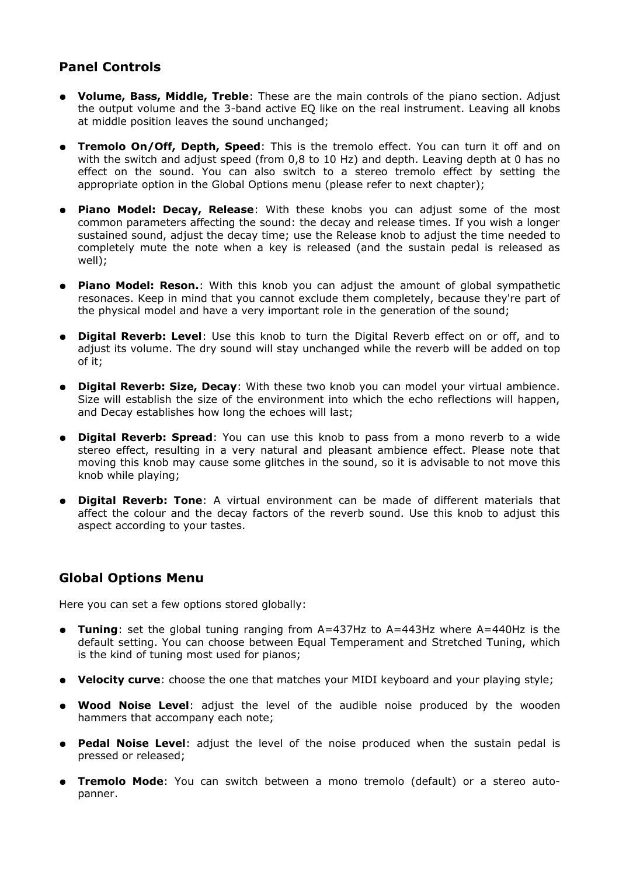#### **Panel Controls**

- **Volume, Bass, Middle, Treble**: These are the main controls of the piano section. Adjust the output volume and the 3-band active EQ like on the real instrument. Leaving all knobs at middle position leaves the sound unchanged;
- **Tremolo On/Off, Depth, Speed**: This is the tremolo effect. You can turn it off and on with the switch and adjust speed (from 0,8 to 10 Hz) and depth. Leaving depth at 0 has no effect on the sound. You can also switch to a stereo tremolo effect by setting the appropriate option in the Global Options menu (please refer to next chapter);
- **Piano Model: Decay, Release**: With these knobs you can adjust some of the most common parameters affecting the sound: the decay and release times. If you wish a longer sustained sound, adjust the decay time; use the Release knob to adjust the time needed to completely mute the note when a key is released (and the sustain pedal is released as well);
- **Piano Model: Reson.**: With this knob you can adjust the amount of global sympathetic resonaces. Keep in mind that you cannot exclude them completely, because they're part of the physical model and have a very important role in the generation of the sound;
- **Digital Reverb: Level**: Use this knob to turn the Digital Reverb effect on or off, and to adjust its volume. The dry sound will stay unchanged while the reverb will be added on top of it;
- **Digital Reverb: Size, Decay**: With these two knob you can model your virtual ambience. Size will establish the size of the environment into which the echo reflections will happen, and Decay establishes how long the echoes will last;
- **Digital Reverb: Spread**: You can use this knob to pass from a mono reverb to a wide stereo effect, resulting in a very natural and pleasant ambience effect. Please note that moving this knob may cause some glitches in the sound, so it is advisable to not move this knob while playing;
- **Digital Reverb: Tone**: A virtual environment can be made of different materials that affect the colour and the decay factors of the reverb sound. Use this knob to adjust this aspect according to your tastes.

#### **Global Options Menu**

Here you can set a few options stored globally:

- **Tuning**: set the global tuning ranging from A=437Hz to A=443Hz where A=440Hz is the default setting. You can choose between Equal Temperament and Stretched Tuning, which is the kind of tuning most used for pianos;
- **Velocity curve**: choose the one that matches your MIDI keyboard and your playing style;
- **Wood Noise Level**: adjust the level of the audible noise produced by the wooden hammers that accompany each note;
- **Pedal Noise Level**: adjust the level of the noise produced when the sustain pedal is pressed or released;
- **Tremolo Mode**: You can switch between a mono tremolo (default) or a stereo autopanner.